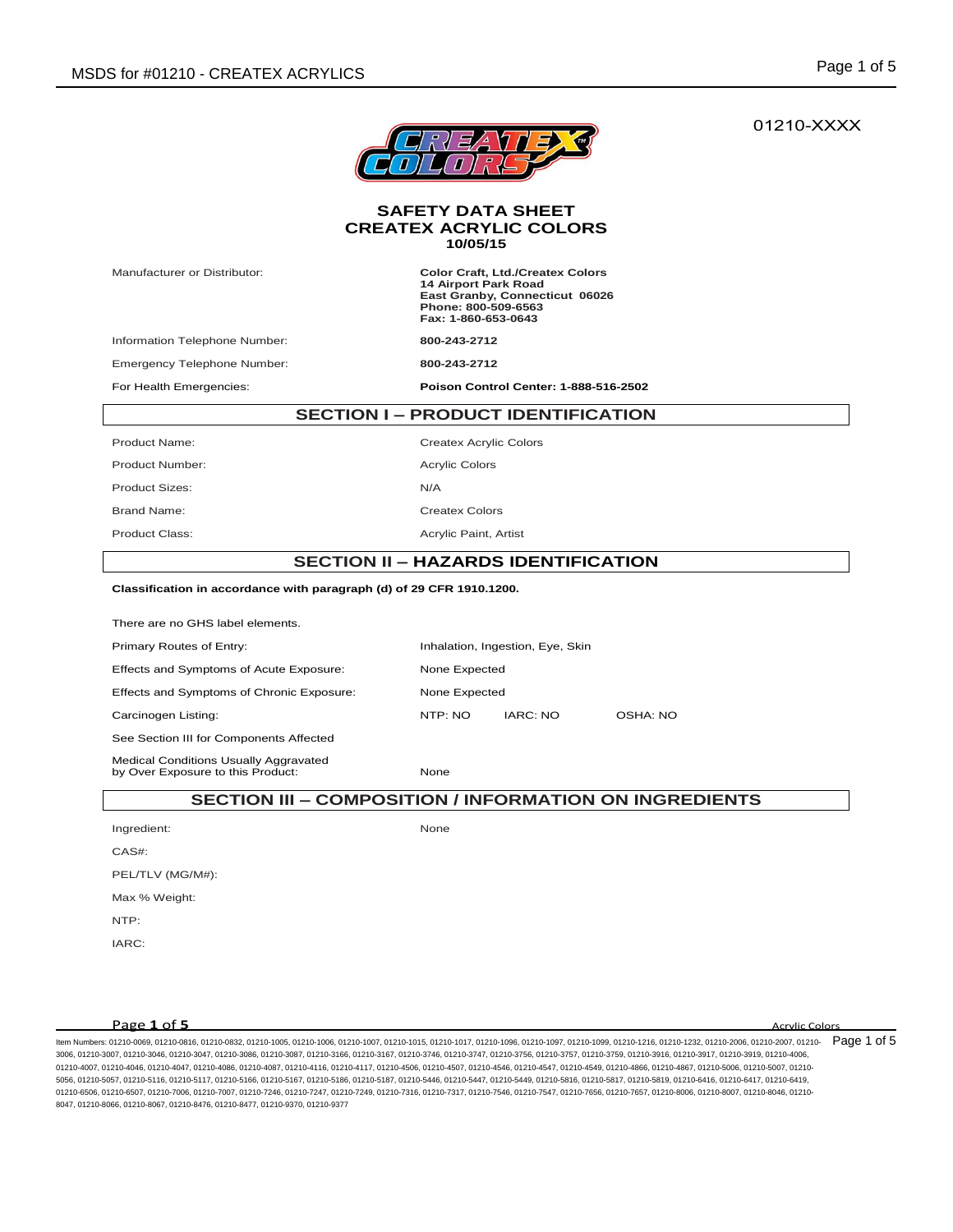# 01210-XXXX



#### **SAFETY DATA SHEET CREATEX ACRYLIC COLORS 10/05/15**

Manufacturer or Distributor: **Color Craft, Ltd./Createx Colors 14 Airport Park Road East Granby, Connecticut 06026 Phone: 800-509-6563 Fax: 1-860-653-0643**

Information Telephone Number: **800-243-2712**

Emergency Telephone Number: **800-243-2712**

For Health Emergencies: **Poison Control Center: 1-888-516-2502**

# **SECTION I – PRODUCT IDENTIFICATION**

Product Name: Createx Acrylic Colors Product Number: Acrylic Colors Product Sizes: N/A Brand Name: Createx Colors Product Class: Acrylic Paint, Artist

# **SECTION II – HAZARDS IDENTIFICATION**

## **Classification in accordance with paragraph (d) of 29 CFR 1910.1200.**

There are no GHS label elements. Primary Routes of Entry: Inhalation, Ingestion, Eye, Skin Effects and Symptoms of Acute Exposure: None Expected Effects and Symptoms of Chronic Exposure: None Expected Carcinogen Listing: NTP: NO IARC: NO OSHA: NO See Section III for Components Affected Medical Conditions Usually Aggravated by Over Exposure to this Product: None

## **SECTION III – COMPOSITION / INFORMATION ON INGREDIENTS**

Ingredient: None

CAS#: PEL/TLV (MG/M#):

Max % Weight:

NTP:

IARC:

**Page 1 of 5** Acrylic Colors

ltem Numbers: 01210-0069, 01210-0816, 01210-0832, 01210-1005, 01210-1006, 01210-1007, 01210-1015, 01210-1096, 01210-1096, 01210-1099, 01210-1099, 01210-1216, 01210-1232, 01210-1230, 01210-2006, 01210-2007, 01210-2007, 0121 3006, 01210-3007, 01210-3046, 01210-3047, 01210-3086, 01210-3087, 01210-3166, 01210-3167, 01210-3746, 01210-3747, 01210-3756, 01210-3757, 01210-3759, 01210-3916, 01210-3917, 01210-3919, 01210-4006, 01210-4007, 01210-4046, 01210-4047, 01210-4086, 01210-4087, 01210-4116, 01210-4117, 01210-4506, 01210-4507, 01210-4546, 01210-4546, 01210-4549, 01210-4866, 01210-4866, 01210-4549, 01210-4549, 01210-4866, 01210-4866, 01210-4 5056, 01210-5057, 01210-5116, 01210-5117, 01210-5166, 01210-5167, 01210-5186, 01210-5187, 01210-5446, 01210-5447, 01210-5449, 01210-5816, 01210-5817, 01210-5819, 01210-6416, 01210-6417, 01210-6419, 01210-6506, 01210-6507, 01210-7006, 01210-7007, 01210-7246, 01210-7247, 01210-7249, 01210-7316, 01210-7317, 01210-7546, 01210-7547, 01210-7656, 01210-7657, 01210-8006, 01210-8007, 01210-8046, 01210- 8047, 01210-8066, 01210-8067, 01210-8476, 01210-8477, 01210-9370, 01210-9377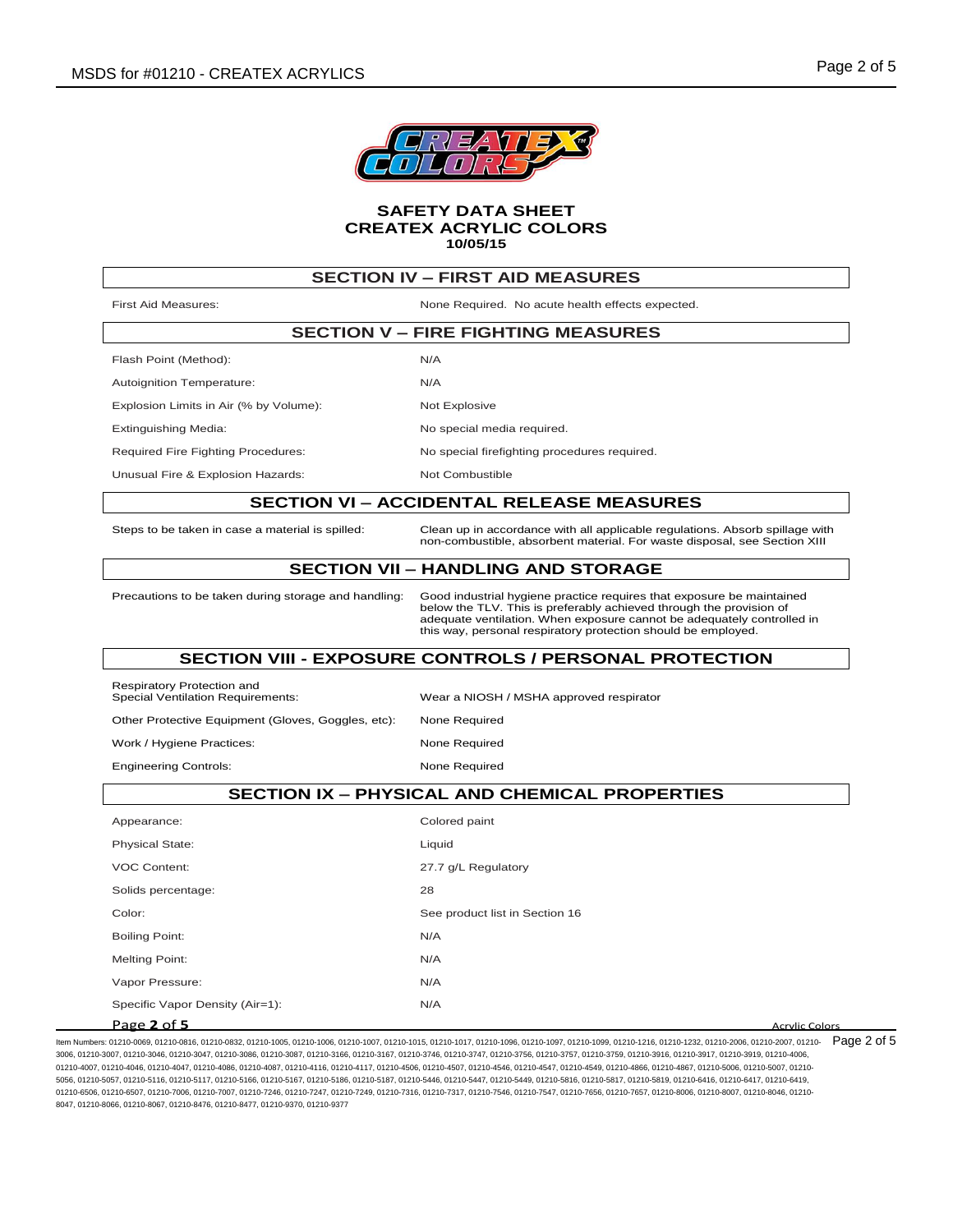

| <b>SECTION IV - FIRST AID MEASURES</b>                                 |                                                                                                                                                                                                                                                                                         |  |  |
|------------------------------------------------------------------------|-----------------------------------------------------------------------------------------------------------------------------------------------------------------------------------------------------------------------------------------------------------------------------------------|--|--|
| <b>First Aid Measures:</b>                                             | None Required. No acute health effects expected.                                                                                                                                                                                                                                        |  |  |
|                                                                        | <b>SECTION V - FIRE FIGHTING MEASURES</b>                                                                                                                                                                                                                                               |  |  |
| Flash Point (Method):                                                  | N/A                                                                                                                                                                                                                                                                                     |  |  |
| Autoignition Temperature:                                              | N/A                                                                                                                                                                                                                                                                                     |  |  |
| Explosion Limits in Air (% by Volume):                                 | Not Explosive                                                                                                                                                                                                                                                                           |  |  |
| Extinguishing Media:                                                   | No special media required.                                                                                                                                                                                                                                                              |  |  |
| <b>Required Fire Fighting Procedures:</b>                              | No special firefighting procedures required.                                                                                                                                                                                                                                            |  |  |
| Unusual Fire & Explosion Hazards:                                      | Not Combustible                                                                                                                                                                                                                                                                         |  |  |
|                                                                        | <b>SECTION VI - ACCIDENTAL RELEASE MEASURES</b>                                                                                                                                                                                                                                         |  |  |
| Steps to be taken in case a material is spilled:                       | Clean up in accordance with all applicable regulations. Absorb spillage with<br>non-combustible, absorbent material. For waste disposal, see Section XIII                                                                                                                               |  |  |
|                                                                        | <b>SECTION VII – HANDLING AND STORAGE</b>                                                                                                                                                                                                                                               |  |  |
| Precautions to be taken during storage and handling:                   | Good industrial hygiene practice requires that exposure be maintained<br>below the TLV. This is preferably achieved through the provision of<br>adequate ventilation. When exposure cannot be adequately controlled in<br>this way, personal respiratory protection should be employed. |  |  |
|                                                                        | <b>SECTION VIII - EXPOSURE CONTROLS / PERSONAL PROTECTION</b>                                                                                                                                                                                                                           |  |  |
| Respiratory Protection and<br><b>Special Ventilation Requirements:</b> | Wear a NIOSH / MSHA approved respirator                                                                                                                                                                                                                                                 |  |  |
|                                                                        |                                                                                                                                                                                                                                                                                         |  |  |
| Other Protective Equipment (Gloves, Goggles, etc):                     | None Required                                                                                                                                                                                                                                                                           |  |  |
| Work / Hygiene Practices:                                              | None Required                                                                                                                                                                                                                                                                           |  |  |
| <b>Engineering Controls:</b>                                           | None Required                                                                                                                                                                                                                                                                           |  |  |
|                                                                        | <b>SECTION IX - PHYSICAL AND CHEMICAL PROPERTIES</b>                                                                                                                                                                                                                                    |  |  |
| Appearance:                                                            | Colored paint                                                                                                                                                                                                                                                                           |  |  |
| <b>Physical State:</b>                                                 | Liquid                                                                                                                                                                                                                                                                                  |  |  |
| <b>VOC Content:</b>                                                    | 27.7 g/L Regulatory                                                                                                                                                                                                                                                                     |  |  |
| Solids percentage:                                                     | 28                                                                                                                                                                                                                                                                                      |  |  |
| Color:                                                                 | See product list in Section 16                                                                                                                                                                                                                                                          |  |  |
| <b>Boiling Point:</b>                                                  | N/A                                                                                                                                                                                                                                                                                     |  |  |

**Page 2 of 5 Acrylic Colors Acrylic Colors Acrylic Colors** 

ltem Numbers: 01210-0069, 01210-0816, 01210-0832, 01210-1005, 01210-1006, 01210-1007, 01210-1015, 01210-1096, 01210-1096, 01210-1099, 01210-1099, 01210-1216, 01210-1232, 01210-1230, 01210-2006, 01210-2007, 01210-2007, 0121 3006, 01210-3007, 01210-3046, 01210-3047, 01210-3086, 01210-3087, 01210-3166, 01210-3167, 01210-3746, 01210-3747, 01210-3756, 01210-3757, 01210-3759, 01210-3916, 01210-3917, 01210-3919, 01210-4006, 01210-4007, 01210-4046, 01210-4047, 01210-4086, 01210-4087, 01210-4116, 01210-4117, 01210-4506, 01210-4506, 01210-4546, 01210-4546, 01210-4549, 01210-4866, 01210-4866, 01210-5006, 01210-4549, 01210-4549, 01210-4549, 01210-4 5056, 01210-5057, 01210-5116, 01210-5117, 01210-5166, 01210-5167, 01210-5186, 01210-5187, 01210-5446, 01210-5447, 01210-5449, 01210-5816, 01210-5817, 01210-5819, 01210-6416, 01210-6417, 01210-6419, 01210-6506, 01210-6507, 01210-7006, 01210-7007, 01210-7246, 01210-7247, 01210-7249, 01210-7316, 01210-7317, 01210-7546, 01210-7547, 01210-7656, 01210-7657, 01210-8006, 01210-8007, 01210-8046, 01210- 8047, 01210-8066, 01210-8067, 01210-8476, 01210-8477, 01210-9370, 01210-9377

Vapor Pressure: N/A Specific Vapor Density (Air=1): N/A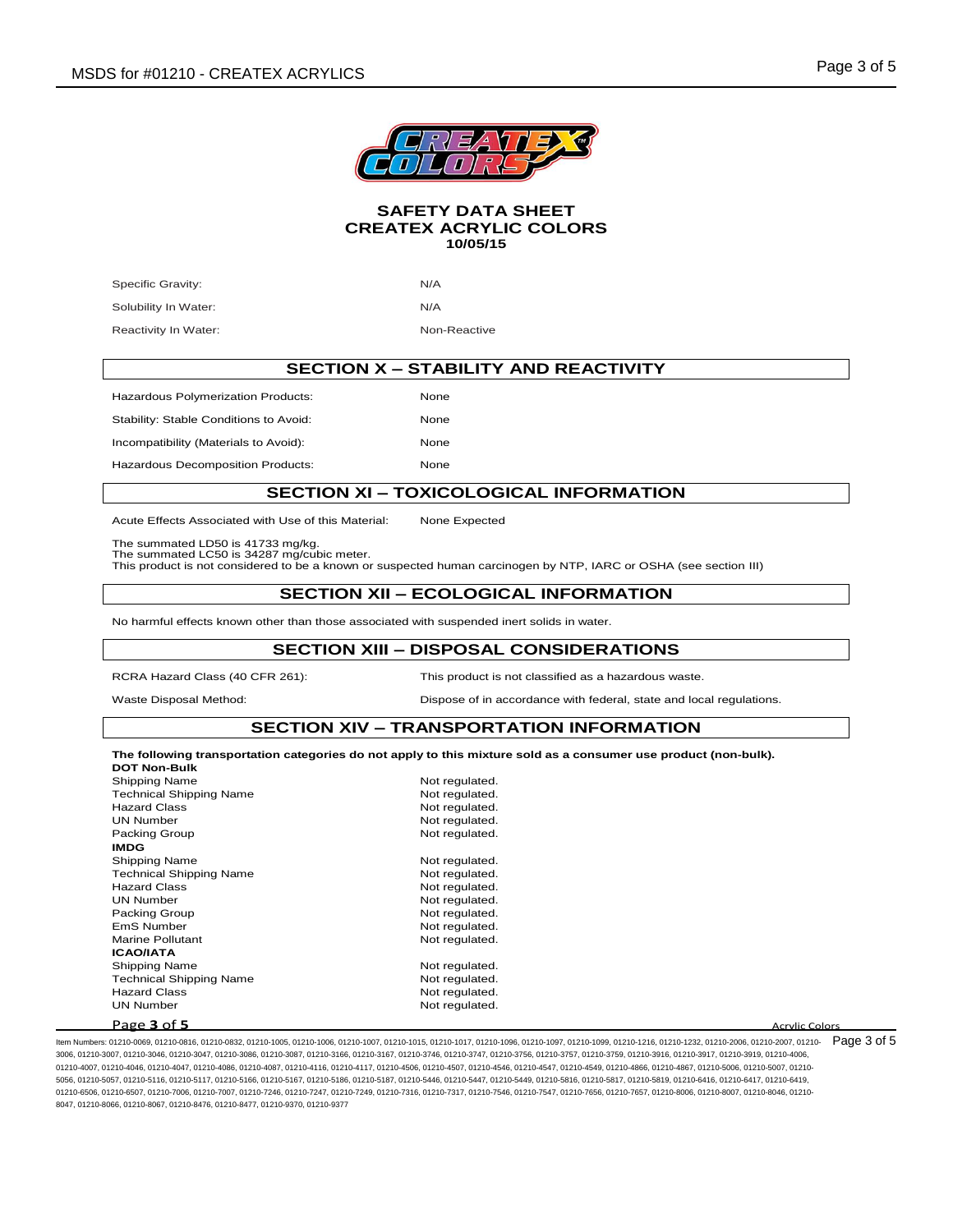

Specific Gravity: N/A Solubility In Water: N/A

Reactivity In Water: Non-Reactive Reactive

**SECTION X – STABILITY AND REACTIVITY**

Hazardous Polymerization Products: None

Stability: Stable Conditions to Avoid: None Incompatibility (Materials to Avoid): None

Hazardous Decomposition Products: None

# **SECTION XI – TOXICOLOGICAL INFORMATION**

Acute Effects Associated with Use of this Material: None Expected

The summated LD50 is 41733 mg/kg.

The summated LC50 is 34287 mg/cubic meter.

This product is not considered to be a known or suspected human carcinogen by NTP, IARC or OSHA (see section III)

# **SECTION XII – ECOLOGICAL INFORMATION**

No harmful effects known other than those associated with suspended inert solids in water.

## **SECTION XIII – DISPOSAL CONSIDERATIONS**

RCRA Hazard Class (40 CFR 261): This product is not classified as a hazardous waste.

Waste Disposal Method: Dispose of in accordance with federal, state and local regulations.

## **SECTION XIV – TRANSPORTATION INFORMATION**

**The following transportation categories do not apply to this mixture sold as a consumer use product (non-bulk). DOT Non-Bulk**

| Shipping Name                  | Not regulated. |                       |
|--------------------------------|----------------|-----------------------|
| <b>Technical Shipping Name</b> | Not regulated. |                       |
| <b>Hazard Class</b>            | Not regulated. |                       |
| <b>UN Number</b>               | Not regulated. |                       |
| Packing Group                  | Not regulated. |                       |
| <b>IMDG</b>                    |                |                       |
| Shipping Name                  | Not regulated. |                       |
| <b>Technical Shipping Name</b> | Not regulated. |                       |
| <b>Hazard Class</b>            | Not regulated. |                       |
| <b>UN Number</b>               | Not regulated. |                       |
| Packing Group                  | Not regulated. |                       |
| EmS Number                     | Not regulated. |                       |
| <b>Marine Pollutant</b>        | Not regulated. |                       |
| <b>ICAO/IATA</b>               |                |                       |
| Shipping Name                  | Not regulated. |                       |
| <b>Technical Shipping Name</b> | Not regulated. |                       |
| <b>Hazard Class</b>            | Not regulated. |                       |
| <b>UN Number</b>               | Not regulated. |                       |
| Page 3 of 5                    |                | <b>Acrylic Colors</b> |

ltem Numbers: 01210-0069, 01210-0816, 01210-0832, 01210-1005, 01210-1006, 01210-1007, 01210-1015, 01210-1096, 01210-1096, 01210-1099, 01210-1099, 01210-1216, 01210-1232, 01210-1230, 01210-2006, 01210-2007, 01210-2007, 0121 3006, 01210-3007, 01210-3046, 01210-3047, 01210-3086, 01210-3087, 01210-3166, 01210-3167, 01210-3746, 01210-3747, 01210-3756, 01210-3757, 01210-3759, 01210-3916, 01210-3917, 01210-3919, 01210-4006, 01210-4007, 01210-4046, 01210-4047, 01210-4086, 01210-4087, 01210-4116, 01210-4117, 01210-4506, 01210-4507, 01210-4546, 01210-4546, 01210-4549, 01210-4866, 01210-4866, 01210-4549, 01210-4549, 01210-4866, 01210-4866, 01210-4 5056, 01210-5057, 01210-5116, 01210-5117, 01210-5166, 01210-5167, 01210-5186, 01210-5187, 01210-5446, 01210-5447, 01210-5449, 01210-5816, 01210-5817, 01210-5819, 01210-6416, 01210-6417, 01210-6419, 01210-6506, 01210-6507, 01210-7006, 01210-7007, 01210-7246, 01210-7247, 01210-7249, 01210-7316, 01210-7317, 01210-7546, 01210-7547, 01210-7656, 01210-7657, 01210-8006, 01210-8007, 01210-8046, 01210- 8047, 01210-8066, 01210-8067, 01210-8476, 01210-8477, 01210-9370, 01210-9377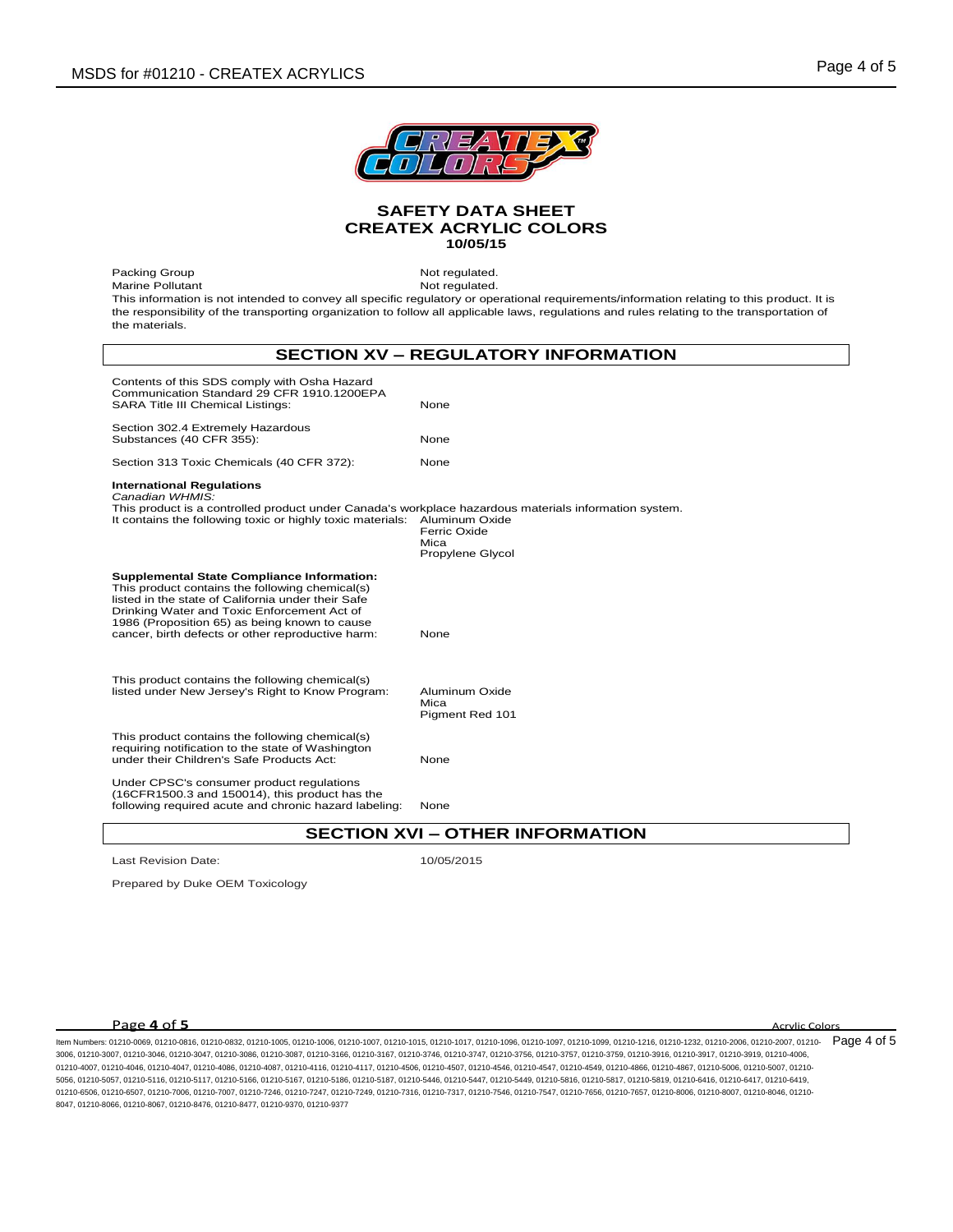

Packing Group Not regulated. Marine Pollutant Not regulated. This information is not intended to convey all specific regulatory or operational requirements/information relating to this product. It is the responsibility of the transporting organization to follow all applicable laws, regulations and rules relating to the transportation of the materials.

# **SECTION XV – REGULATORY INFORMATION**

| Contents of this SDS comply with Osha Hazard<br>Communication Standard 29 CFR 1910.1200EPA<br><b>SARA Title III Chemical Listings:</b>                                                                                                                                                                          | None                                                       |  |  |
|-----------------------------------------------------------------------------------------------------------------------------------------------------------------------------------------------------------------------------------------------------------------------------------------------------------------|------------------------------------------------------------|--|--|
| Section 302.4 Extremely Hazardous<br>Substances (40 CFR 355):                                                                                                                                                                                                                                                   | None                                                       |  |  |
| Section 313 Toxic Chemicals (40 CFR 372):                                                                                                                                                                                                                                                                       | None                                                       |  |  |
| <b>International Regulations</b><br>Canadian WHMIS:<br>This product is a controlled product under Canada's workplace hazardous materials information system.<br>It contains the following toxic or highly toxic materials:                                                                                      | Aluminum Oxide<br>Ferric Oxide<br>Mica<br>Propylene Glycol |  |  |
| <b>Supplemental State Compliance Information:</b><br>This product contains the following chemical(s)<br>listed in the state of California under their Safe<br>Drinking Water and Toxic Enforcement Act of<br>1986 (Proposition 65) as being known to cause<br>cancer, birth defects or other reproductive harm: | None                                                       |  |  |
| This product contains the following chemical(s)<br>listed under New Jersey's Right to Know Program:                                                                                                                                                                                                             | Aluminum Oxide<br>Mica<br>Pigment Red 101                  |  |  |
| This product contains the following chemical(s)<br>requiring notification to the state of Washington<br>under their Children's Safe Products Act:                                                                                                                                                               | None                                                       |  |  |
| Under CPSC's consumer product regulations<br>(16CFR1500.3 and 150014), this product has the<br>following required acute and chronic hazard labeling:                                                                                                                                                            | None                                                       |  |  |
| <b>SECTION XVI – OTHER INFORMATION</b>                                                                                                                                                                                                                                                                          |                                                            |  |  |

Last Revision Date: 10/05/2015

Prepared by Duke OEM Toxicology

# **Page 4 of 5** Acrylic Colors

ltem Numbers: 01210-0069, 01210-0816, 01210-0832, 01210-1005, 01210-1006, 01210-1007, 01210-1015, 01210-1096, 01210-1096, 01210-1099, 01210-1099, 01210-1216, 01210-1232, 01210-1230, 01210-2006, 01210-2007, 01210-2007, 0121 3006, 01210-3007, 01210-3046, 01210-3047, 01210-3086, 01210-3087, 01210-3166, 01210-3167, 01210-3746, 01210-3747, 01210-3756, 01210-3757, 01210-3759, 01210-3916, 01210-3917, 01210-3919, 01210-4006, 01210-4007, 01210-4046, 01210-4047, 01210-4086, 01210-4087, 01210-4116, 01210-4117, 01210-4506, 01210-4507, 01210-4546, 01210-4546, 01210-4546, 01210-4866, 01210-4866, 01210-4547, 01210-4549, 01210-4866, 01210-4866, 01210-4 5056, 01210-5057, 01210-5116, 01210-5117, 01210-5166, 01210-5167, 01210-5186, 01210-5187, 01210-5446, 01210-5447, 01210-5449, 01210-5816, 01210-5817, 01210-5819, 01210-6416, 01210-6417, 01210-6419, 01210-6506, 01210-6507, 01210-7006, 01210-7007, 01210-7246, 01210-7247, 01210-7249, 01210-7316, 01210-7317, 01210-7546, 01210-7547, 01210-7656, 01210-7657, 01210-8006, 01210-8007, 01210-8046, 01210- 8047, 01210-8066, 01210-8067, 01210-8476, 01210-8477, 01210-9370, 01210-9377